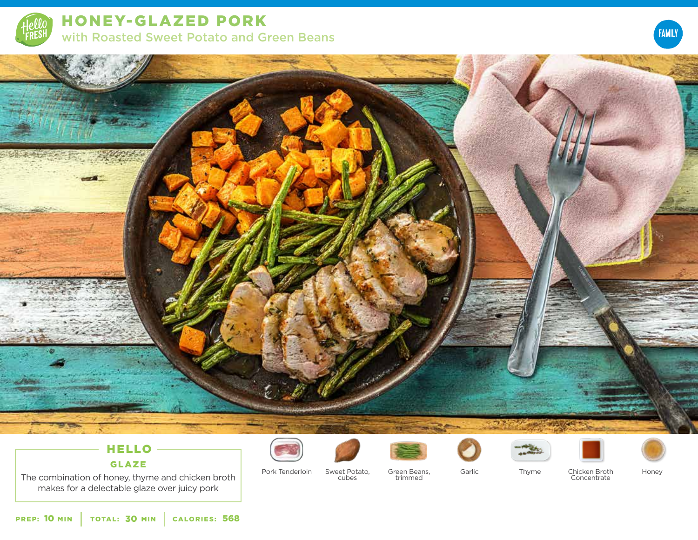

HONEY-GLAZED PORK with Roasted Sweet Potato and Green Beans





# HELLO

## GLAZE

The combination of honey, thyme and chicken broth makes for a delectable glaze over juicy pork













Pork Tenderloin Sweet Potato, Garlic cubes

Green Beans, trimmed

Thyme Chicken Broth Concentrate

Honey